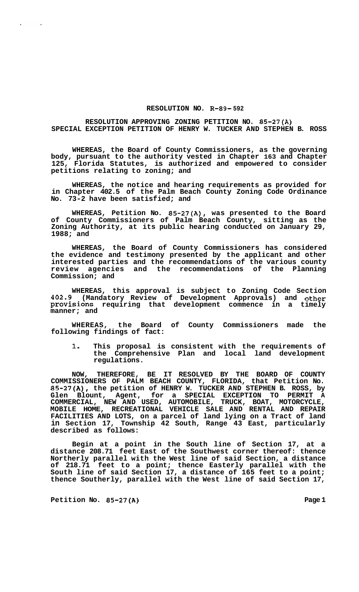## **RESOLUTION NO. R-89- 592**

## **RESOLUTION APPROVING ZONING PETITION NO. 85-27(A) SPECIAL EXCEPTION PETITION OF HENRY W. TUCKER AND STEPHEN B. ROSS**

**WHEREAS, the Board of County Commissioners, as the governing body, pursuant to the authority vested in Chapter 163 and Chapter 125, Florida Statutes, is authorized and empowered to consider petitions relating to zoning; and** 

**WHEREAS, the notice and hearing requirements as provided for in Chapter 402.5 of the Palm Beach County Zoning Code Ordinance No. 73-2 have been satisfied; and** 

**WHEREAS, Petition No. 85-27(A), was presented to the Board of County Commissioners of Palm Beach County, sitting as the Zoning Authority, at its public hearing conducted on January 29, 1988; and** 

**WHEREAS, the Board of County Commissioners has considered the evidence and testimony presented by the applicant and other interested parties and the recommendations of the various county review agencies and the recommendations of the Planning Commission; and** 

**WHEREAS, this approval is subject to Zoning Code Section 402.9 (Mandatory Review of Development Approvals) and other provisions requiring that development commence in a timely manner; and** 

**WHEREAS, the Board of County Commissioners made the following findings of fact:** 

**1. This proposal is consistent with the requirements of the Comprehensive Plan and local land development regulations.** 

**NOW, THEREFORE, BE IT RESOLVED BY THE BOARD OF COUNTY COMMISSIONERS OF PALM BEACH COUNTY, FLORIDA, that Petition No. 85-27(A), the petition of HENRY W. TUCKER AND STEPHEN B. ROSS, by Glen Blount, Agent, for a SPECIAL EXCEPTION TO PERMIT A COMMERCIAL, NEW AND USED, AUTOMOBILE, TRUCK, BOAT, MOTORCYCLE, MOBILE HOME, RECREATIONAL VEHICLE SALE AND RENTAL AND REPAIR FACILITIES AND LOTS, on a parcel of land lying on a Tract of land in Section 17, Township 42 South, Range 43 East, particularly described as follows:** 

**Begin at a point in the South line of Section 17, at a distance 208.71 feet East of the Southwest corner thereof: thence Northerly parallel with the West line of said Section, a distance of 218.71 feet to a point; thence Easterly parallel with the South line of said Section 17, a distance of 165 feet to a point; thence Southerly, parallel with the West line of said Section 17,** 

**Petition No. 85-27(A)** Page 1

 $\sim$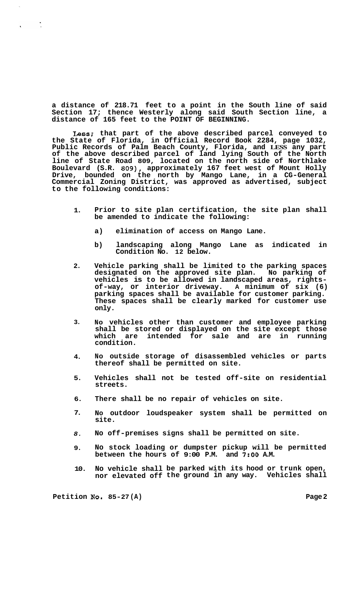**a distance of 218.71 feet to a point in the South line of said Section 17; thence Westerly along said South Section line, a distance of 165 feet to the POINT OF BEGINNING.** 

**Less; that part of the above described parcel conveyed to the State of Florida, in Official Record Book 2284, page 1032, Public Records of Palm Beach County, Florida, and LESS any part of the above described parcel of land lying South of the North line of State Road 809, located on the north side of Northlake Boulevard (S.R. 809), approximately 167 feet west of Mount Holly Drive, bounded on the north by Mango Lane, in a CG-General Commercial Zoning District, was approved as advertised, subject to the following conditions:** 

- **1. Prior to site plan certification, the site plan shall be amended to indicate the following:** 
	- **a) elimination of access on Mango Lane.**
	- **b) landscaping along Mango Lane as indicated in Condition No. 12 below.**
- **2. Vehicle parking shall be limited to the parking spaces designated on the approved site plan. No parking of vehicles is to be allowed in landscaped areas, rights- of-way, or interior driveway. A minimum of six (6) parking spaces shall be available for customer parking. These spaces shall be clearly marked for customer use only.**
- **3. NO vehicles other than customer and employee parking shall be stored or displayed on the site except those which are intended for sale and are in running condition.**
- **4. NO outside storage of disassembled vehicles or parts thereof shall be permitted on site.**
- **5. Vehicles shall not be tested off-site on residential streets.**
- **6. There shall be no repair of vehicles on site.**
- **7. NO outdoor loudspeaker system shall be permitted on site.**
- *8.*  **No off-premises signs shall be permitted on site.**
- **9. No stock loading or dumpster pickup will be permitted between the hours of 9:00 P.M. and 7:OO A.M.**
- **10. No vehicle shall be parked with its hood or trunk open, nor elevated off the ground in any way. Vehicles shall**

**Petition No. 85-27 (A) Page 2**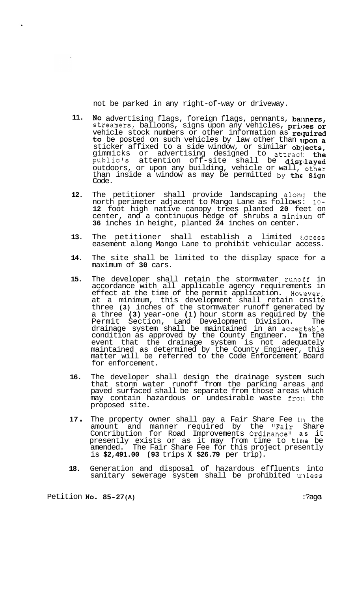not be parked in any right-of-way or driveway.

- **11.**  No advertising flags, foreign flags, pennants, banners, streamers, balloons, signs upon any vehicles, prices or vehicle stock numbers or other information as required to be posted on such vehicles by law other than upon a sticker affixed to a side window, or similar objects, gimmicks or advertising designed to attract: the public's attention off-site shall be disrlayed outdoors, or upon any building, vehicle or wall, other than inside a window as may be permitted by the  $Sign$ Code.
- **12.**  The petitioner shall provide landscaping along the north perimeter adjacent to Mango Lane as follows: **10- 12** foot high native canopy trees planted **20** feet on center, and a continuous hedge of shrubs a mininum of **36** inches in height, planted **24** inches on center.
- **13.**  The petitioner shall establish a limited access easement along Mango Lane to prohibit vehicular access.
- **14.**  The site shall be limited to the display space for a maximum of **30** cars.
- **15.**  The developer shall retain the stormwater runoff in accordance with all applicable agency requirements in effect at the time of the permit application. However, at a minimum, this development shall retain cnsite three **(3)** inches of the stormwater runoff generated by a three **(3)** year-one **(1)** hour storm as required by the Permit Section, Land Development Division. The drainage system shall be maintained in an acceptable condition as approved by the County Engineer. **In** the event that the drainage system is not adequately maintained as determined by the County Engineer, this matter will be referred to the Code Enforcement Board for enforcement.
- **16.**  The developer shall design the drainage system such that storm water runoff from the parking areas and paved surfaced shall be separate from those areas which may contain hazardous or undesirable waste fron the proposed site.
- **<sup>17</sup>**. The property owner shall pay a Fair Share Fee in the amount and manner required by the "Fair Share Contribution for Road Improvements Ordinance" **as** it presently exists or as it may from time to time be amended. The Fair Share Fee for this project presently is **\$2,491.00 (93** trips **X \$26.79** per trip).
- **18.**  Generation and disposal of hazardous effluents into sanitary sewerage system shall be prohibited unless

Petition **No. 85-27 (A)** :?age **3**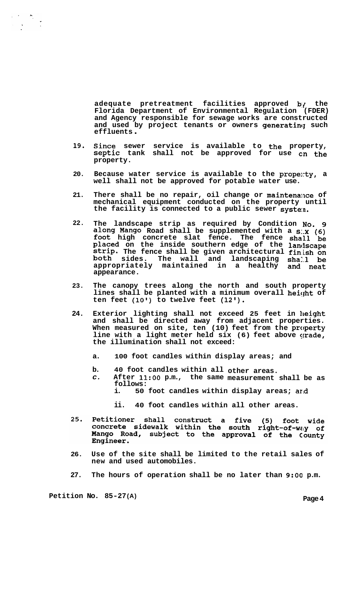**adequate pretreatment facilities approved b:? the Florida Department of Environmental Regulation (FDER) and Agency responsible for sewage works are constructed**  and used by project tenants or owners generating such<br>effluents

- **19. Since sewer service is available to the property, Septic tank shall not be approved for use cn the property.**
- 20. Because water service is available to the propenty, a **well shall not be approved for potable water use.**
- 21. There shall be no repair, oil change or maintenance of **mechanical equipment conducted on the property until the facility is connected to a public sewer syste:n.**
- **22. The landscape strip as required by Condition NO. g along Mango Road shall be supplemented with a S:.X (6) foot high concrete slat fence. The fence shall be placed on the inside southern edge of the lancfscape strip. The fence shall be given architectural fin.ish on both sides. The wall and landscaping sha1.1 be appropriately maintained in a healthy and neat appearance.**
- **23. The canopy trees along the north and south property lines shall be planted with a minimum overall heiqht of ten feet (10') to twelve feet (12').**
- 24. Exterior lighting shall not exceed 25 feet in height **and shall be directed away from adjacent properties. When measured on site, ten (10) feet from the property line with a light meter held six (6) feet above grade, the illumination shall not exceed:** 
	- **a. 100 foot candles within display areas; and**
	- **b. 40 foot candles within all other areas.** 
		- *c.* **After 11:OO p.m., the same measurement shall be as follows:** 
			- **i. 50 foot candles within display areas; arid** 
				- **ii. 40 foot candles within all other areas.**
- Petitioner shall construct a five (5) foot wide<br>concrete sidewalk within the south right-of-way of 25. Mango Road, subject to the approval of the County Engineer.
- **26. Use of the site shall be limited to the retail sales of new and used automobiles.**
- **27. The hours of operation shall be no later than 9:OO p.m.**

**Petition No. 85-27 (A) Page 4**